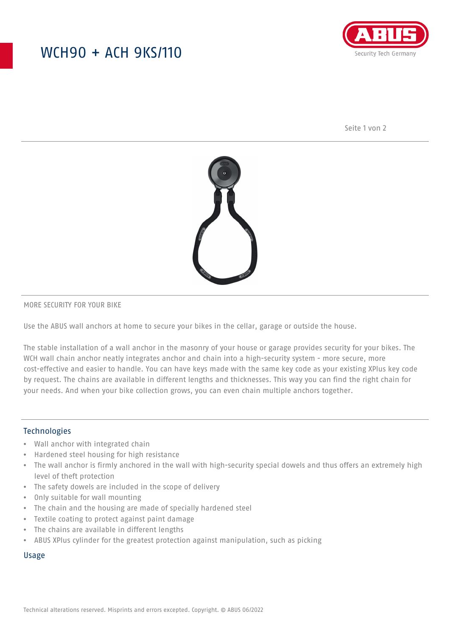## WCH90 + ACH 9KS/110



Seite 1 von 2



#### MORE SECURITY FOR YOUR BIKE

Use the ABUS wall anchors at home to secure your bikes in the cellar, garage or outside the house.

The stable installation of a wall anchor in the masonry of your house or garage provides security for your bikes. The WCH wall chain anchor neatly integrates anchor and chain into a high-security system - more secure, more cost-effective and easier to handle. You can have keys made with the same key code as your existing XPlus key code by request. The chains are available in different lengths and thicknesses. This way you can find the right chain for your needs. And when your bike collection grows, you can even chain multiple anchors together.

#### Technologies

- Wall anchor with integrated chain
- Hardened steel housing for high resistance
- The wall anchor is firmly anchored in the wall with high-security special dowels and thus offers an extremely high level of theft protection
- The safety dowels are included in the scope of delivery
- Only suitable for wall mounting
- The chain and the housing are made of specially hardened steel
- Textile coating to protect against paint damage
- The chains are available in different lengths
- ABUS XPlus cylinder for the greatest protection against manipulation, such as picking

#### Usage